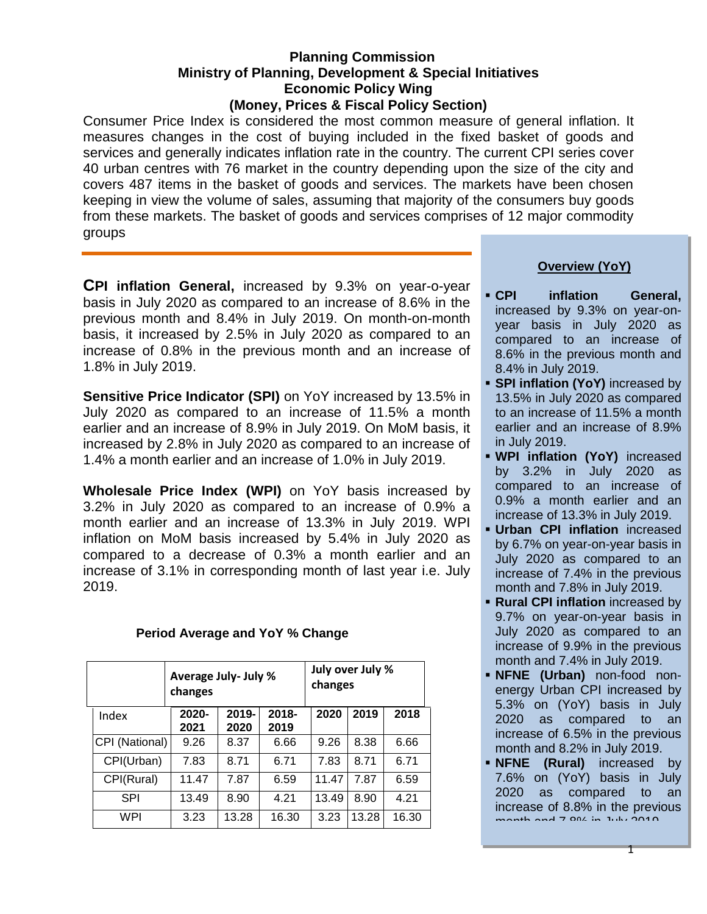#### **Planning Commission Ministry of Planning, Development & Special Initiatives Economic Policy Wing (Money, Prices & Fiscal Policy Section)**

Consumer Price Index is considered the most common measure of general inflation. It measures changes in the cost of buying included in the fixed basket of goods and services and generally indicates inflation rate in the country. The current CPI series cover 40 urban centres with 76 market in the country depending upon the size of the city and covers 487 items in the basket of goods and services. The markets have been chosen keeping in view the volume of sales, assuming that majority of the consumers buy goods from these markets. The basket of goods and services comprises of 12 major commodity groups

**CPI inflation General,** increased by 9.3% on year-o-year basis in July 2020 as compared to an increase of 8.6% in the previous month and 8.4% in July 2019. On month-on-month basis, it increased by 2.5% in July 2020 as compared to an increase of 0.8% in the previous month and an increase of 1.8% in July 2019.

**Sensitive Price Indicator (SPI)** on YoY increased by 13.5% in July 2020 as compared to an increase of 11.5% a month earlier and an increase of 8.9% in July 2019. On MoM basis, it increased by 2.8% in July 2020 as compared to an increase of 1.4% a month earlier and an increase of 1.0% in July 2019.

**Wholesale Price Index (WPI)** on YoY basis increased by 3.2% in July 2020 as compared to an increase of 0.9% a month earlier and an increase of 13.3% in July 2019. WPI inflation on MoM basis increased by 5.4% in July 2020 as compared to a decrease of 0.3% a month earlier and an increase of 3.1% in corresponding month of last year i.e. July 2019.

|                | Average July- July %<br>changes |               |                  | July over July %<br>changes |       |       |
|----------------|---------------------------------|---------------|------------------|-----------------------------|-------|-------|
| Index          | 2020-<br>2021                   | 2019-<br>2020 | $2018 -$<br>2019 | 2020                        | 2019  | 2018  |
| CPI (National) | 9.26                            | 8.37          | 6.66             | 9.26                        | 8.38  | 6.66  |
| CPI(Urban)     | 7.83                            | 8.71          | 6.71             | 7.83                        | 8.71  | 6.71  |
| CPI(Rural)     | 11.47                           | 7.87          | 6.59             | 11.47                       | 7.87  | 6.59  |
| <b>SPI</b>     | 13.49                           | 8.90          | 4.21             | 13.49                       | 8.90  | 4.21  |
| WPI            | 3.23                            | 13.28         | 16.30            | 3.23                        | 13.28 | 16.30 |

## **Period Average and YoY % Change**

# **Overview (YoY)**

- **CPI inflation General,** increased by 9.3% on year-onyear basis in July 2020 as compared to an increase of 8.6% in the previous month and 8.4% in July 2019.
- **SPI inflation (YoY)** increased by 13.5% in July 2020 as compared to an increase of 11.5% a month earlier and an increase of 8.9% in July 2019.
- **WPI inflation (YoY)** increased by 3.2% in July 2020 as compared to an increase of 0.9% a month earlier and an increase of 13.3% in July 2019.
- **Urban CPI inflation** increased by 6.7% on year-on-year basis in July 2020 as compared to an increase of 7.4% in the previous month and 7.8% in July 2019.
- **Rural CPI inflation** increased by 9.7% on year-on-year basis in July 2020 as compared to an increase of 9.9% in the previous month and 7.4% in July 2019.
- **NFNE (Urban)** non-food nonenergy Urban CPI increased by 5.3% on (YoY) basis in July 2020 as compared to an increase of 6.5% in the previous month and 8.2% in July 2019.
- **NFNE** (Rural) increased by 7.6% on (YoY) basis in July 2020 as compared to an increase of 8.8% in the previous  $m \cdot 100 \cdot 7.80$  in July 2010.

1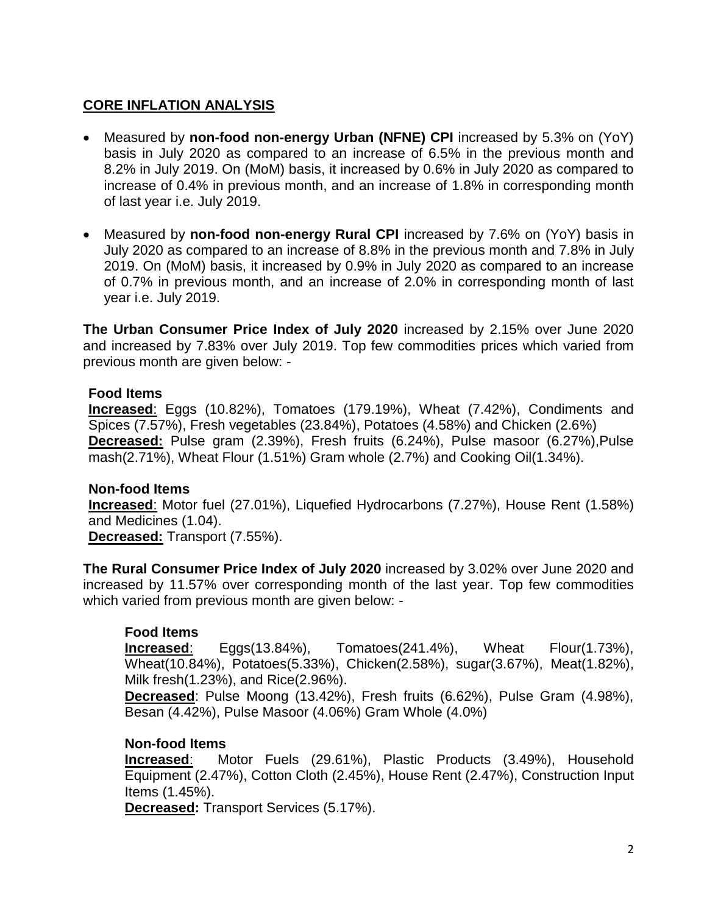# **CORE INFLATION ANALYSIS**

- Measured by **non-food non-energy Urban (NFNE) CPI** increased by 5.3% on (YoY) basis in July 2020 as compared to an increase of 6.5% in the previous month and 8.2% in July 2019. On (MoM) basis, it increased by 0.6% in July 2020 as compared to increase of 0.4% in previous month, and an increase of 1.8% in corresponding month of last year i.e. July 2019.
- Measured by **non-food non-energy Rural CPI** increased by 7.6% on (YoY) basis in July 2020 as compared to an increase of 8.8% in the previous month and 7.8% in July 2019. On (MoM) basis, it increased by 0.9% in July 2020 as compared to an increase of 0.7% in previous month, and an increase of 2.0% in corresponding month of last year i.e. July 2019.

**The Urban Consumer Price Index of July 2020** increased by 2.15% over June 2020 and increased by 7.83% over July 2019. Top few commodities prices which varied from previous month are given below: -

## **Food Items**

**Increased**: Eggs (10.82%), Tomatoes (179.19%), Wheat (7.42%), Condiments and Spices (7.57%), Fresh vegetables (23.84%), Potatoes (4.58%) and Chicken (2.6%) **Decreased:** Pulse gram (2.39%), Fresh fruits (6.24%), Pulse masoor (6.27%),Pulse mash(2.71%), Wheat Flour (1.51%) Gram whole (2.7%) and Cooking Oil(1.34%).

#### **Non-food Items**

**Increased**: Motor fuel (27.01%), Liquefied Hydrocarbons (7.27%), House Rent (1.58%) and Medicines (1.04). **Decreased:** Transport (7.55%).

**The Rural Consumer Price Index of July 2020** increased by 3.02% over June 2020 and increased by 11.57% over corresponding month of the last year. Top few commodities which varied from previous month are given below: -

## **Food Items**

**Increased**: Eggs(13.84%), Tomatoes(241.4%), Wheat Flour(1.73%), Wheat(10.84%), Potatoes(5.33%), Chicken(2.58%), sugar(3.67%), Meat(1.82%), Milk fresh(1.23%), and Rice(2.96%).

**Decreased**: Pulse Moong (13.42%), Fresh fruits (6.62%), Pulse Gram (4.98%), Besan (4.42%), Pulse Masoor (4.06%) Gram Whole (4.0%)

#### **Non-food Items**

**Increased**: Motor Fuels (29.61%), Plastic Products (3.49%), Household Equipment (2.47%), Cotton Cloth (2.45%), House Rent (2.47%), Construction Input Items (1.45%).

**Decreased:** Transport Services (5.17%).